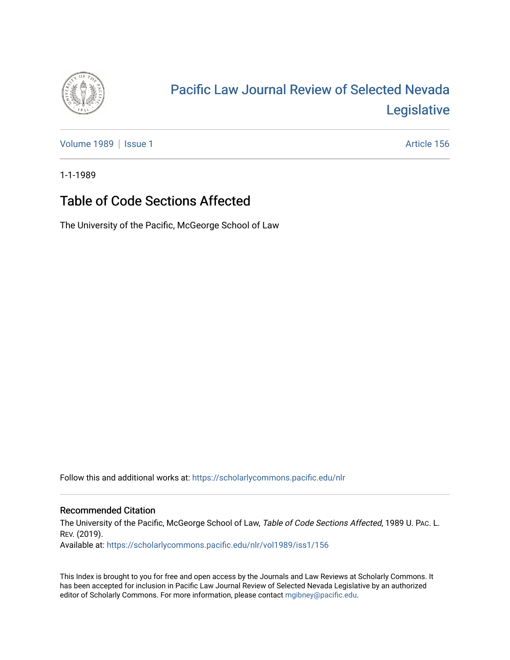

# [Pacific Law Journal Review of Selected Nevada](https://scholarlycommons.pacific.edu/nlr)  [Legislative](https://scholarlycommons.pacific.edu/nlr)

[Volume 1989](https://scholarlycommons.pacific.edu/nlr/vol1989) | [Issue 1](https://scholarlycommons.pacific.edu/nlr/vol1989/iss1) Article 156

1-1-1989

## Table of Code Sections Affected

The University of the Pacific, McGeorge School of Law

Follow this and additional works at: [https://scholarlycommons.pacific.edu/nlr](https://scholarlycommons.pacific.edu/nlr?utm_source=scholarlycommons.pacific.edu%2Fnlr%2Fvol1989%2Fiss1%2F156&utm_medium=PDF&utm_campaign=PDFCoverPages) 

#### Recommended Citation

The University of the Pacific, McGeorge School of Law, Table of Code Sections Affected, 1989 U. PAc. L. REV. (2019). Available at: [https://scholarlycommons.pacific.edu/nlr/vol1989/iss1/156](https://scholarlycommons.pacific.edu/nlr/vol1989/iss1/156?utm_source=scholarlycommons.pacific.edu%2Fnlr%2Fvol1989%2Fiss1%2F156&utm_medium=PDF&utm_campaign=PDFCoverPages) 

This Index is brought to you for free and open access by the Journals and Law Reviews at Scholarly Commons. It has been accepted for inclusion in Pacific Law Journal Review of Selected Nevada Legislative by an authorized editor of Scholarly Commons. For more information, please contact [mgibney@pacific.edu](mailto:mgibney@pacific.edu).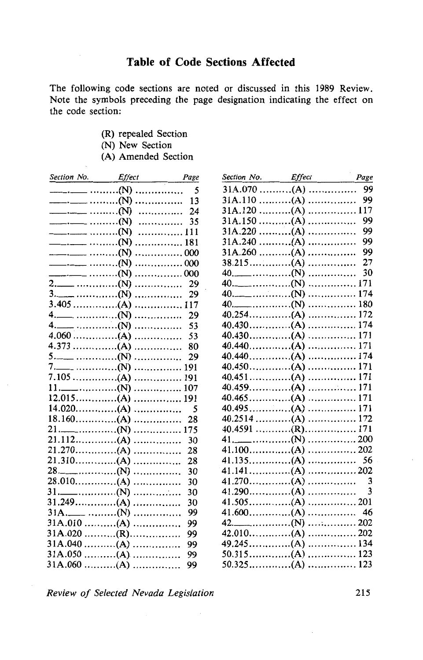The following code sections are noted or discussed in this 1989 Review. Note the symbols preceding the page designation indicating the effect on the code section:

- (R) repealed Section
- (N) New Section
- (A) Amended Section

| Section No. Effect Page                                                                   |   |                          |
|-------------------------------------------------------------------------------------------|---|--------------------------|
|                                                                                           |   | 5                        |
| $\qquad \qquad \cdots \qquad \qquad \cdots \qquad \qquad \cdots \qquad \qquad \text{(N)}$ |   | .<br>13                  |
| $\qquad \qquad \qquad \cdots \qquad \qquad \cdots \qquad \qquad \textbf{(N)}$             |   | 24<br>.                  |
|                                                                                           |   | 35<br>.                  |
| $\qquad \qquad \cdots \qquad \qquad \cdots \qquad \qquad \cdots \qquad \qquad \text{(N)}$ |   | 111<br>.                 |
|                                                                                           |   | . 181                    |
| $\qquad \qquad \cdots \qquad \qquad \cdots \qquad \qquad \text{(N)}$                      |   | . 000                    |
|                                                                                           |   | . 000                    |
|                                                                                           |   | . 000                    |
|                                                                                           | . | 29                       |
|                                                                                           | . | 29                       |
|                                                                                           | . | 117                      |
|                                                                                           | . | 29                       |
|                                                                                           | . | 53                       |
|                                                                                           |   | 53                       |
|                                                                                           |   | 80                       |
|                                                                                           |   | 29                       |
|                                                                                           | . | 191                      |
|                                                                                           |   | 191                      |
|                                                                                           |   | 107                      |
|                                                                                           |   | 191                      |
|                                                                                           |   | $\overline{\phantom{0}}$ |
|                                                                                           |   | 28                       |
|                                                                                           |   | 175                      |
|                                                                                           |   | 30                       |
|                                                                                           |   | 28                       |
|                                                                                           |   | 28                       |
|                                                                                           |   | 30                       |
|                                                                                           | . | 30                       |
|                                                                                           | . | 30                       |
|                                                                                           | . | 30                       |
|                                                                                           | . | 99                       |
| $31A.010$ (A)                                                                             |   | 99                       |
| $31A.020$ (R)                                                                             |   | 99                       |
| $31A.040$ (A)                                                                             |   | 99                       |
| $31A.050$ (A)                                                                             |   | 99                       |
| $31A.060$ (A)                                                                             |   | 99                       |

| Section No. Effect |       | Page |
|--------------------|-------|------|
| $31A.070$ (A)      |       | 99   |
| $31A.110$ (A)      |       | 99   |
|                    |       |      |
| $31A.150$ (A)      |       | 99   |
| $31A.220$ (A)      | .     | 99   |
| $31A.240$ (A)      | .     | 99   |
| $31A.260$ (A)      | .     | 99   |
| $38.215$ (A)       | .     | 27   |
|                    |       | 30   |
| $40.$ (N)          | 171   |      |
| $40$ . (N)         | . 174 |      |
|                    | . 180 |      |
| $40.254$ (A)       | . 172 |      |
|                    |       |      |
|                    |       |      |
|                    |       |      |
|                    |       |      |
|                    |       |      |
|                    |       |      |
|                    |       |      |
|                    |       |      |
|                    |       |      |
|                    |       |      |
|                    |       |      |
| $41$ . $200$       |       |      |
|                    |       |      |
|                    |       | 56   |
|                    |       |      |
|                    |       |      |
|                    |       | 3    |
|                    |       |      |
| $41.600$ (A)       | . 46  |      |
| $42.$ (N)          | 202   |      |
| $42.010$ (A)       | . 202 |      |
|                    | 134   |      |
| $50.315$ (A)       | 123   |      |
| $50.325$ (A)       | 123   |      |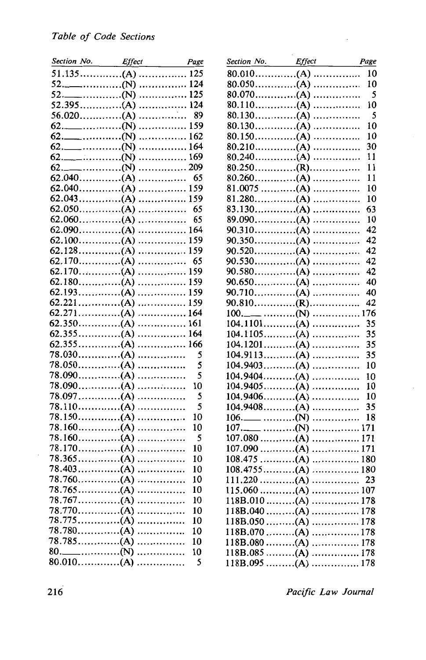| Section No. Effect Page |         |
|-------------------------|---------|
|                         |         |
| $52$ . $124$            |         |
|                         |         |
|                         |         |
|                         |         |
|                         |         |
|                         |         |
|                         |         |
|                         |         |
|                         |         |
|                         | 65      |
|                         |         |
|                         |         |
|                         |         |
|                         | 65      |
|                         |         |
|                         |         |
|                         |         |
|                         | 65      |
|                         |         |
|                         |         |
|                         |         |
|                         |         |
|                         |         |
|                         |         |
|                         |         |
|                         | . 166   |
| $78.050$ (A)            | 5<br>5  |
|                         | 5       |
|                         | 10      |
| $78.097$ (A)            | 5<br>.  |
| $78.110$ (A)            | 5       |
|                         | 10      |
|                         | 10      |
|                         | 5       |
|                         | 10      |
| $78.365$ (A)            | 10<br>. |
| $78.403$ (A)            | .<br>10 |
| $78.760$ (A)            | 10      |
| $78.765$ (A)            | 10      |
|                         | 10      |
| $78.770$ (A)            | 10      |
| 78.775(A)               | 10      |
| 78.780(A)               | 10      |
| $78.785$ (A)            | 10      |
|                         | 10      |
| 80.010(A)               | 5       |

| Section No. Effect Page |     |
|-------------------------|-----|
|                         | 10  |
| $80.050$ (A)            | 10  |
| $80.070$ (A)            | 5   |
|                         | 10  |
|                         | 5   |
|                         | 10  |
| $80.150$ (A)            | 10  |
|                         | 30  |
|                         | 11  |
| $80.250$ (R)            | 11  |
|                         | 11  |
| $81.0075$ (A)           | 10  |
|                         | 10  |
|                         | 63  |
| $89.090$ (A)            | 10  |
|                         | 42  |
|                         | 42  |
| $90.520$ (A)            | 42  |
|                         | 42  |
| $90.580$ (A)            | 42  |
| $90.650$ (A)            | 40  |
| $90.710$ (A)            | 40  |
| $90.810$ (R)            | 42  |
|                         | 176 |
| $104.1101$ (A)          | 35  |
| $104.1105$ (A)          | 35  |
|                         | 35  |
| $104.9113$ (A)          | 35  |
| $104.9403$ (A)          | 10  |
| $104.9404$ (A)          | 10  |
| $104.9405$ (A)          | 10  |
| $104.9406$ (A)          | 10  |
| $104.9408$ (A)          | 35  |
|                         | 18  |
|                         |     |
|                         |     |
|                         |     |
| $108.475$ (A) 180       |     |
|                         |     |
| $111.220$ (A)           | 23  |
| $115.060$ (A) 107       |     |
| $118B.010$ (A) 178      |     |
| $118B.040$ (A) 178      |     |
|                         |     |
|                         |     |
|                         |     |
| $118B.085$ (A) 178      |     |
|                         |     |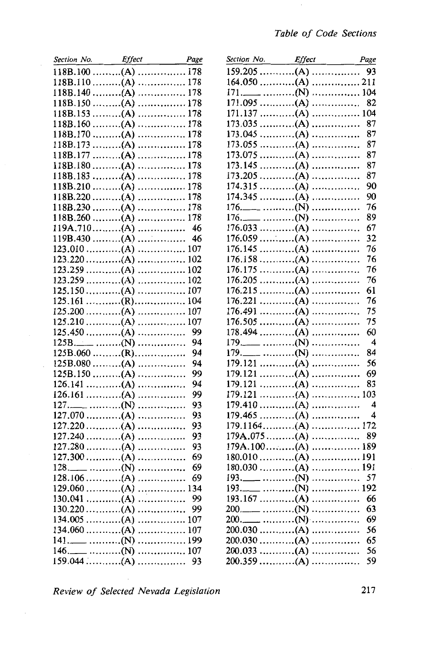| Section No.                           | <i>Effect</i>              | Page<br>$\sim 10^{-10}$ |
|---------------------------------------|----------------------------|-------------------------|
| $118B.100$ (A)                        |                            | 178                     |
| $118B.110$ (A)                        |                            | . 178                   |
| $118B.140$ (A)                        |                            | . 178                   |
| $118B.150$ (A)                        |                            | 178                     |
| 118B.153                              | $\ldots$ (A)               | . 178                   |
| $118B.160$ (A)                        |                            | . 178                   |
| 118B.170                              | $\ldots \ldots \ldots (A)$ | 178<br>.                |
| 118B.173                              | $\ldots \ldots \ldots (A)$ | . 178                   |
| 118B.177                              | $\ldots \ldots \ldots (A)$ | 178<br>.                |
| 118B.180                              | (A)                        | 178                     |
| 118B.183                              | $\ldots$ $(A)$             | . 178                   |
| $118B.210$ (A)                        |                            | 178<br>.                |
| $118B.220$ (A)                        |                            | 178<br>.                |
| $118B.230$ (A)                        |                            | 178<br>.                |
| $118B.260$ (A)                        |                            | 178<br>.                |
| $119A.710$ (A)                        |                            | -46<br>.                |
| $119B.430$ (A)                        |                            | .<br>- 46               |
| $123.010$ (A)                         |                            | 107<br>.                |
| $123.220$ (A)                         |                            | 102<br>                 |
| $123.259$ (A)                         |                            | 102<br>.                |
| $123.259$ (A)                         |                            | 102<br>.                |
| $125.150$ (A)                         |                            | 107<br>.                |
|                                       |                            | 104                     |
| $125.161$ (R)                         |                            |                         |
| $125.200$ (A)                         |                            | 107                     |
| $125.210$ (A)                         |                            | 107<br>.                |
| $125.450$ (A)                         |                            | 99<br>.                 |
| $125B$ . (N)                          |                            | 94<br>.                 |
| $125B.060$ (R)                        |                            | 94                      |
| $125B.080$ (A)                        |                            | 94<br>.                 |
| $125B.150$ (A)                        |                            | 99<br>.                 |
| $126.141$ (A)                         |                            | 94<br>.                 |
| $126.161$ (A)                         |                            | 99<br>.                 |
|                                       |                            | 93<br>.                 |
| $127.070$ (A)                         |                            | 93<br>.                 |
| $127.220$ (A)                         |                            | 93<br>.                 |
| $127.240$ (A)                         |                            | 93<br>.                 |
| $127.280$ (A)                         |                            | 93<br>.                 |
| $127.300$ (A)                         |                            | 69<br>.                 |
|                                       |                            | 69<br>.                 |
| 128.106<br>$\ldots \ldots \ldots (A)$ |                            | 69<br>.                 |
| $129.060$ (A)                         |                            | .<br>134                |
| $130.041$ (A)                         |                            | 99<br>.                 |
| $130.220$ (A)                         |                            | 99<br>.                 |
| $134.005$ (A)                         |                            | 107<br>.                |
| $134.060$ (A)                         |                            | .<br>107                |
|                                       |                            | 199<br>.                |
|                                       |                            | 107<br>.                |
| 146.____ (N)<br>159.044 (A)           |                            | 93<br>.                 |
|                                       |                            |                         |

| Section No. Effect                                       |       | Page                    |
|----------------------------------------------------------|-------|-------------------------|
| $159.205$ (A)                                            | .     | 93                      |
| $164.050$ (A)                                            | . 211 |                         |
|                                                          | 104   |                         |
| $171.095$ (A)                                            | .     | 82                      |
| $171.137$ (A)                                            | .     | 104                     |
| 173.035                                                  | .     | 87                      |
| 173.045                                                  | .     | 87                      |
| 173.055                                                  | .     | 87                      |
| $173.075$ (A)                                            | .     | 87                      |
| $173.145$ (A)                                            | .     | 87                      |
| $173.205$ (A)                                            | .     | 87                      |
| $174.315$ (A)                                            | .     | 90                      |
| $174.345$ (A)                                            | .     | 90                      |
| $176.$ _______ (N)                                       | .     | 76                      |
| $\qquad \qquad \ldots \ldots \ldots \ldots (N)$<br>176._ |       | 89                      |
| $176.033$ (A)                                            | .     | 67                      |
| $176.059$ (A)                                            |       | 32                      |
|                                                          | .     |                         |
| $176.145$ (A)                                            | .     | 76                      |
| $176.158$ (A)                                            | .     | 76                      |
| $176.175$ (A)                                            | .     | 76                      |
| $176.205$ (A)                                            | .     | 76                      |
| $176.215$ (A)                                            | .     | 61                      |
| $176.221$ (A)                                            | .     | 76                      |
| $176.491$ (A)                                            | .     | 75                      |
| $176.505$ (A)                                            | .     | 75                      |
| $178.494$ (A)                                            | .     | 60                      |
|                                                          | .     | 4                       |
|                                                          | .     | 84                      |
| $179.121$ (A)                                            | .     | 56                      |
| $179.121$ (A)                                            | .     | 69                      |
| $179.121$ (A)                                            | .     | 83                      |
| $179.121$ (A)                                            | .     | 103                     |
| $179.410$ (A)                                            | .     | $\overline{\mathbf{4}}$ |
| $179.465$ (A)                                            | .     | 4                       |
| $179.1164$ (A)                                           | .     | 172                     |
| $179A.075$ (A)                                           | .     | 89                      |
| $179A.100$ (A)                                           | .     | 189                     |
| $180.010$ (A)                                            | .     | 191                     |
| $180.030$ (A)                                            | .     | 191                     |
|                                                          | .     | 57                      |
|                                                          | .     | 192                     |
| $193.167$ (A)                                            | .     | 66                      |
|                                                          | .     | 63                      |
|                                                          | .     | 69                      |
| $200.030$ (A)                                            | .     | 56                      |
| $200.030$ (A)                                            | .     | 65                      |
| $200.033$ (A)                                            | .     | 56                      |
| $200.359$ (A)                                            | .     | 59                      |
|                                                          |       |                         |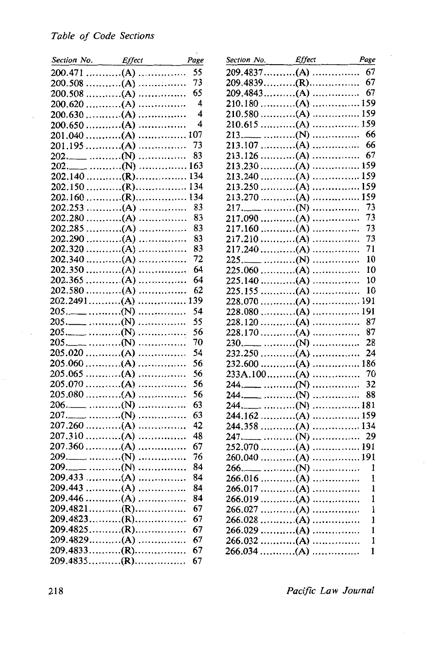| Section No. Effect |   | Page                    |
|--------------------|---|-------------------------|
|                    |   | 55                      |
| $200.508$ (A)      |   | 73                      |
| $200.508$ (A)      |   | 65                      |
| $200.620$ (A)      |   | $\overline{4}$          |
| $200.630$ (A)      |   | $\overline{\mathbf{4}}$ |
| $200.650$ (A)      |   | $\overline{\mathbf{4}}$ |
|                    |   | 107                     |
| $201.195$ (A)      |   | 73                      |
|                    |   | 83                      |
|                    |   | 163                     |
|                    |   | 134                     |
| $202.150$ (R)      |   | 134                     |
| $202.160$ (R)      |   | 134                     |
|                    |   | 83                      |
| $202.280$ (A)      |   | 83                      |
|                    |   | 83                      |
| $202.290$ (A)      |   | 83                      |
| $202.320$ (A)      |   | 83                      |
|                    |   | 72                      |
|                    |   | 64                      |
|                    |   | 64                      |
| $202.580$ (A)      |   | 62                      |
| $202.2491$ (A)     |   | 139                     |
|                    |   | 54                      |
|                    |   | 55                      |
|                    |   | 56                      |
|                    | . | 70                      |
| $205.020$ (A)      | . | 54                      |
| $205.060$ (A)      | . | 56                      |
|                    |   | 56                      |
|                    |   | 56                      |
| $205.080$ (A)      | . | 56                      |
|                    | . | 63                      |
|                    | . | 63                      |
| $207.260$ (A)      | . | 42                      |
| $207.310$ (A)      |   | 48                      |
|                    |   | 67                      |
|                    | . | 76                      |
|                    | . | 84                      |
| $209.433$ (A)      | . | 84                      |
| $209.443$ (A)      |   | 84                      |
| $209.446$ (A)      |   | 84                      |
|                    |   | 67                      |
|                    |   | 67                      |
| $209.4825$ (R)     |   | 67                      |
| $209.4829$ (A)     |   | 67                      |
| $209.4833$ (R)     |   | 67                      |
| $209.4835$ (R)     |   | 67                      |
|                    |   |                         |

| Section No. Effect Page               |          |
|---------------------------------------|----------|
| $209.4837\ldots( A )\ldots$           | 67       |
|                                       | 67       |
| $209.4843$ (A)                        | 67       |
| $210.180$ (A)                         | 159      |
|                                       | 159      |
| $210.615$ (A)                         | 159      |
|                                       | 66       |
| 213. ____ (N)<br>213.107 (A)          | 66       |
|                                       | 67       |
|                                       | 159      |
|                                       | 159      |
|                                       | 159      |
| $213.270$ (A)                         | 159      |
|                                       | 73       |
| $217.090$ (A)                         | 73       |
|                                       | 73       |
| $217.160$ (A)                         |          |
|                                       | 73       |
|                                       | 71       |
|                                       | 10       |
|                                       | 10       |
|                                       | 10       |
|                                       | 10       |
| $228.070$ (A)                         | 191      |
|                                       | 191      |
| $228.120$ (A)                         | 87       |
|                                       | 87       |
|                                       | 28       |
| $232.250$ (A)                         | 24       |
|                                       | 186      |
| $233A.100$ (A)                        | 70       |
|                                       | 32<br>.  |
| $244$ . (N)                           | 88<br>.  |
|                                       | 181      |
| $244.162$ (A)                         | 159<br>. |
| $244.358$ (A)                         | 134      |
|                                       | 29<br>.  |
|                                       |          |
|                                       |          |
|                                       | <br>1    |
| 266.016<br>$\ldots \ldots \ldots (A)$ | 1        |
|                                       |          |
| $266.017$ (A)                         | ı        |
| $266.019$ (A)                         | 1        |
|                                       | 1        |
| $266.028$ (A)                         | ı        |
| $266.029$ (A)                         | 1        |
|                                       | 1        |
| $266.034$ (A)                         | 1        |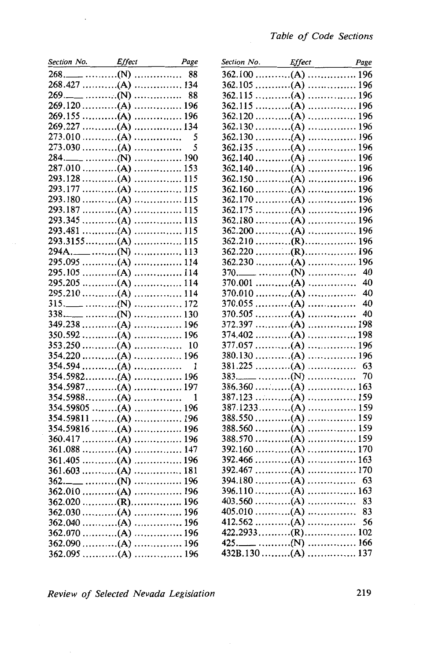| Section No. Effect Page               |                                                            |
|---------------------------------------|------------------------------------------------------------|
|                                       |                                                            |
|                                       |                                                            |
|                                       |                                                            |
| 269. ____ (N)  88<br>269.120 (A)  196 |                                                            |
|                                       |                                                            |
| $269.227$ (A)                         | 134                                                        |
| $273.010$ (A)                         |                                                            |
| $273.030$ (A)                         | $\begin{array}{ccc}\n &  &  & 5 \\ &  &  & 5\n\end{array}$ |
|                                       |                                                            |
| $287.010$ (A)                         | . 153                                                      |
| $293.128$ (A)                         | 115                                                        |
| $293.177$ (A)                         | . 115                                                      |
| $293.180$ (A)                         | 115                                                        |
|                                       |                                                            |
|                                       |                                                            |
|                                       |                                                            |
| $293.3155$ (A)                        | . 115                                                      |
|                                       | 113                                                        |
| 294A.____ (N)<br>295.095 (A)          | 114                                                        |
|                                       |                                                            |
|                                       |                                                            |
| $295.210$ (A)                         | 114                                                        |
|                                       | 172                                                        |
|                                       | 130                                                        |
| $349.238$ (A)                         | . 196                                                      |
|                                       |                                                            |
|                                       |                                                            |
|                                       |                                                            |
| $354.594$ (A)                         | 1                                                          |
| $354.5982$ (A)                        | . 196                                                      |
| $354.5987$ (A)                        | 197                                                        |
|                                       |                                                            |
|                                       |                                                            |
|                                       |                                                            |
| $354.59816$ (A)  196                  |                                                            |
|                                       |                                                            |
|                                       |                                                            |
|                                       |                                                            |
|                                       |                                                            |
|                                       | . 196                                                      |
|                                       |                                                            |
|                                       |                                                            |
|                                       |                                                            |
|                                       |                                                            |
|                                       |                                                            |
|                                       |                                                            |
|                                       |                                                            |
|                                       |                                                            |

 $\ddot{\phantom{a}}$ 

| Section No. Effect Page            |       |     |
|------------------------------------|-------|-----|
|                                    |       |     |
|                                    |       |     |
|                                    |       |     |
|                                    |       |     |
| $362.120$ (A)                      | . 196 |     |
|                                    |       |     |
|                                    |       |     |
|                                    |       |     |
|                                    |       |     |
| $362.140$ (A)                      | . 196 |     |
| $362.150$ (A)                      | .     | 196 |
|                                    |       |     |
|                                    |       |     |
|                                    |       |     |
|                                    |       |     |
| $362.200$ (A)                      |       | 196 |
| $362.210$ (R)                      |       | 196 |
|                                    |       | 196 |
|                                    |       | 196 |
|                                    |       | 40  |
|                                    |       |     |
| $370.001$ (A)                      |       | 40  |
| $370.010$ (A)                      | .     | 40  |
| $370.055$ (A)                      |       | 40  |
| $370.505$ (A)                      |       | 40  |
| $372.397$ (A)                      |       | 198 |
| $374.402$ (A)                      | .     | 198 |
| $377.057$ (A)                      | .     | 196 |
| $380.130$ (A)                      | .     | 196 |
| $381.225$ (A)                      | .     | 63  |
|                                    | .     | 70  |
| $386.360$ (A)                      | 163   |     |
| $387.123$ (A)                      | . 159 |     |
| $387.1233$ (A)                     | . 159 |     |
| $388.550$ (A)                      | . 159 |     |
| $388.560$ (A)                      | . 159 |     |
| $388.570$ (A)                      | 159   |     |
| $392.160$ (A)                      | 170   |     |
| $392.466$ (A)                      | . 163 |     |
| $392.467$ (A)                      | . 170 |     |
| $394.180$ (A)                      |       |     |
|                                    |       |     |
|                                    |       | 83  |
|                                    |       | 83  |
|                                    |       | 56  |
|                                    |       |     |
|                                    |       |     |
| 425. (N)  166<br>432B.130 (A)  137 |       |     |
|                                    |       |     |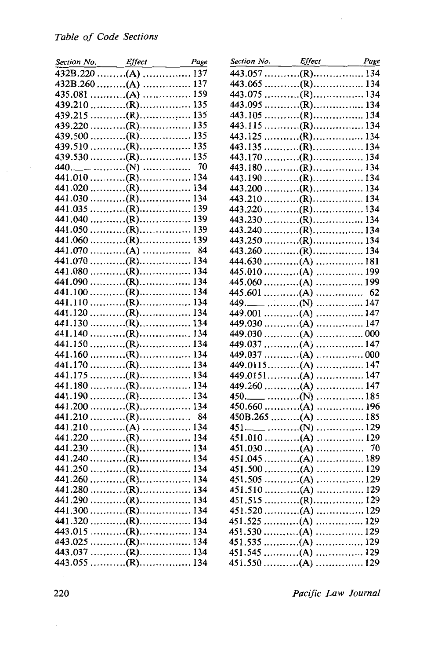| Section No. Effect | Page |
|--------------------|------|
|                    |      |
|                    |      |
|                    |      |
|                    |      |
|                    |      |
|                    |      |
|                    |      |
|                    |      |
|                    |      |
|                    | 70   |
|                    |      |
|                    |      |
|                    |      |
|                    |      |
|                    |      |
|                    |      |
|                    |      |
| $441.070$ (A)      | 84   |
|                    |      |
|                    |      |
|                    |      |
|                    |      |
|                    |      |
|                    |      |
|                    |      |
|                    |      |
|                    |      |
|                    |      |
|                    |      |
|                    |      |
|                    |      |
|                    |      |
|                    |      |
|                    |      |
|                    |      |
|                    |      |
|                    |      |
|                    |      |
|                    |      |
|                    |      |
|                    |      |
|                    |      |
|                    |      |
|                    |      |
|                    |      |
|                    |      |
|                    |      |
|                    |      |

| Section No. Effect Page         |       |    |
|---------------------------------|-------|----|
| $443.057 \ldots (R) \ldots (R)$ |       |    |
|                                 |       |    |
|                                 |       |    |
|                                 |       |    |
|                                 |       |    |
|                                 |       |    |
|                                 |       |    |
|                                 |       |    |
|                                 |       |    |
|                                 |       |    |
|                                 |       |    |
|                                 |       |    |
|                                 |       |    |
|                                 |       |    |
|                                 |       |    |
|                                 |       |    |
|                                 |       |    |
|                                 |       |    |
|                                 |       |    |
|                                 |       |    |
|                                 |       |    |
|                                 |       |    |
|                                 |       |    |
|                                 |       |    |
|                                 |       |    |
|                                 |       |    |
|                                 |       |    |
| $449.037 \ldots (A) \ldots (B)$ |       |    |
|                                 |       |    |
| $449.0151$ (A) 147              |       |    |
|                                 |       |    |
|                                 | 185   |    |
| $450.660$ (A)                   | . 196 |    |
| $450B.265$ (A)                  | . 185 |    |
|                                 | 129   |    |
|                                 |       |    |
| $451.030$ (A)                   |       | 70 |
| $451.045$ (A) 189               |       |    |
|                                 |       |    |
| $451.505$ (A)                   | 129   |    |
|                                 |       |    |
|                                 |       |    |
|                                 |       |    |
|                                 |       |    |
|                                 |       |    |
|                                 |       |    |
|                                 |       |    |
|                                 |       |    |
|                                 |       |    |

 $\mathcal{L}_{\mathcal{L}}$ 

 $\mathcal{L}_{\rm{in}}$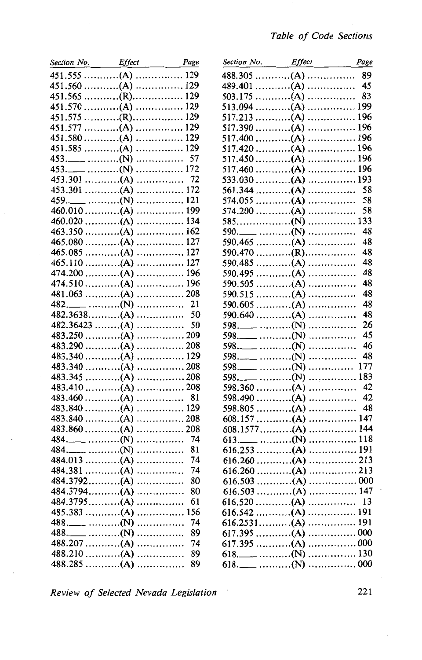| Section No. Effect Page |           |
|-------------------------|-----------|
|                         |           |
|                         |           |
|                         |           |
|                         |           |
|                         |           |
|                         |           |
|                         |           |
|                         |           |
|                         | .<br>57   |
|                         | 172       |
| $453.301$ (A)           |           |
| $453.301$ (A)           | . 172     |
|                         | 121<br>.  |
| $460.010$ (A)           | . 199     |
| $460.020$ (A)           | . 134     |
| $463.350$ (A)           | 162       |
| $465.080$ (A)           | . 127     |
| $465.085$ (A)           | 127<br>.  |
| $465.110$ (A)           | 127<br>.  |
| $474.200$ (A)           | 196<br>.  |
| $474.510$ (A)           | 196<br>.  |
| $481.063$ (A)           | . 208     |
|                         | . 21      |
| $482.3638$ (A)          | - 50<br>. |
| $482.36423$ (A)         | 50<br>.   |
| $483.250$ (A)           | . 209     |
| $483.290$ (A)           | 208       |
| $483.340$ (A)           | 129       |
| $483.340$ (A)           | . 208     |
| $483.345$ (A)           | . 208     |
| $483.410$ (A)           | 208       |
| $483.460$ (A)           | . 81      |
| $483.840$ (A)           | . 129     |
| $483.840$ (A)           | 208       |
| $483.860$ (A)           | . 208     |
|                         | 74<br>.   |
|                         | 81<br>.   |
| $484.013$ (A)           | 74<br>    |
| $484.381$ (A)           | 74<br>.   |
| $484.3792$ (A)          | 80<br>.   |
| $484.3794$ (A)          | .<br>80   |
| $484.3795$ (A)          | 61        |
|                         | 156       |
|                         | 74        |
|                         | 89<br>.   |
| $488.207$ (A)           | 74<br>.   |
| $488.210$ (A)           | 89<br>.   |
|                         | 89        |
|                         |           |

|                | Section No. Effect | Page |
|----------------|--------------------|------|
|                | $488.305$ (A)      | 89   |
|                | $489.401$ (A)      | 45   |
|                | $503.175$ (A)      | 83   |
|                | $513.094$ (A)      | 199  |
| $517.213$ (A)  | .                  | 196  |
| $517.390$ (A)  | .                  | 196  |
| $517.400$ (A)  | .                  | 196  |
| $517.420$ (A)  | 196                |      |
| $517.450$ (A)  | . 196              |      |
| $517.460$ (A)  | 196                |      |
| $533.030$ (A)  |                    | 193  |
| $561.344$ (A)  |                    | 58   |
| $574.055$ (A)  | .                  | 58   |
| $574.200$ (A)  |                    | 58   |
|                | .                  | 133  |
|                | .                  | 48   |
| $590.465$ (A)  |                    | 48   |
|                | $590.470$ (R)      | 48   |
| $590.485$ (A)  | .                  | 48   |
| $590.495$ (A)  | .                  | 48   |
| $590.505$ (A)  | .                  | 48   |
| 590.515        | .                  | 48   |
| $590.605$ (A)  | .                  | 48   |
| $590.640$ (A)  | .                  | 48   |
|                | .                  | 26   |
|                | .                  | 45   |
|                | .                  | 46   |
|                | .                  | 48   |
|                | .                  | 177  |
|                | .                  | 183  |
| $598.360$ (A)  | .                  | 42   |
| $598.490$ (A)  | .                  | 42   |
| $598.805$ (A)  | .                  | 48   |
| $608.157$ (A)  | .                  | 147  |
| $608.1577$ (A) |                    | 144  |
|                | 118                |      |
| $616.253$ (A)  | . 191              |      |
| $616.260$ (A)  | 213                |      |
|                | 213                |      |
| $616.260$ (A)  |                    |      |
| $616.503$ (A)  | 000                |      |
|                |                    |      |
|                |                    |      |
|                |                    |      |
|                |                    |      |
|                |                    |      |
|                | $617.395$ (A) 000  |      |
|                |                    |      |
|                |                    |      |

221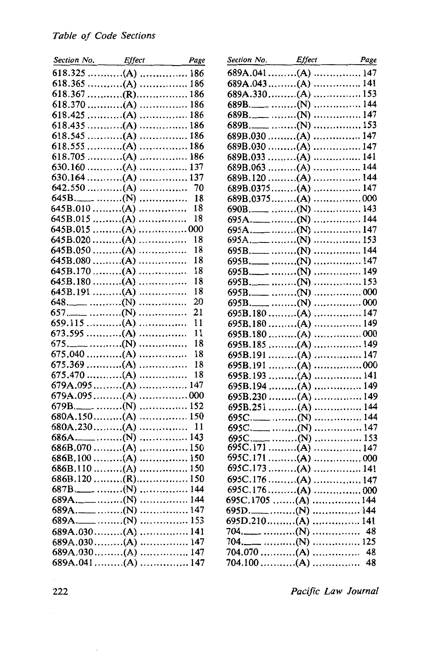| Section No. Effect   | Page  |                 |
|----------------------|-------|-----------------|
| $618.325$ (A)  186   |       |                 |
|                      |       |                 |
|                      |       |                 |
|                      |       |                 |
|                      |       |                 |
|                      |       |                 |
|                      |       |                 |
|                      |       |                 |
|                      |       |                 |
|                      |       |                 |
|                      |       |                 |
| $642.550$ (A)        |       | 70              |
|                      |       | 18              |
| 645B.010 (A)         |       | $\overline{18}$ |
| $645B.015$ (A)       |       | 18              |
| $645B.015$ (A) 000   |       |                 |
| $645B.020$ (A)       |       | 18              |
| $645B.050$ (A)       |       | 18              |
| $645B.080$ (A)       |       | 18              |
| $645B.170$ (A)       |       | 18              |
| $645B.180$ (A)       |       | 18              |
| $645B.191$ (A)       |       | 18              |
|                      |       | 20              |
|                      |       | 21              |
| $659.115$ (A)        |       | 11              |
|                      |       | 11              |
|                      |       | 18              |
| $675.040$ (A)        |       | 18              |
| $675.369$ (A)        |       | 18              |
| $675.470$ (A)        |       | 18              |
| $679A.095$ (A) 147   |       |                 |
| $679A.095$ (A) 000   |       |                 |
|                      |       |                 |
|                      |       |                 |
|                      |       |                 |
| $686A$ . (N)     143 |       |                 |
| $686B,070$ (A) 150   |       |                 |
|                      |       |                 |
|                      |       |                 |
|                      |       |                 |
| $687B$ . (N)         | . 144 |                 |
|                      | 144   |                 |
|                      | . 147 |                 |
| $689A$ . (N)         | . 153 |                 |
| $689A.030$ (A)       | . 141 |                 |
| $689A.030$ (A)       | . 147 |                 |
| $689A.030$ (A)       | . 147 |                 |
| $689A.041$ (A)       | . 147 |                 |

| Section No. Effect Page                    |       |    |
|--------------------------------------------|-------|----|
| $689A.041$ (A)  147                        |       |    |
| $689A.043$ (A)  141                        |       |    |
|                                            |       |    |
|                                            |       |    |
|                                            |       |    |
|                                            |       |    |
| $689B.030$ (A) 147                         |       |    |
| $689B.030$ (A)  147                        |       |    |
| $689B.033$ (A)  141                        |       |    |
| $689B.063$ (A)  144                        |       |    |
| $689B.120$ (A)  144                        |       |    |
| $689B.0375$ (A)                            | 147   |    |
| $689B.0375$ (A) 000                        |       |    |
|                                            | 143   |    |
|                                            |       |    |
|                                            |       |    |
|                                            | . 153 |    |
|                                            | . 144 |    |
| $695B$ . (N)                               | . 147 |    |
|                                            | . 149 |    |
|                                            |       |    |
|                                            |       |    |
|                                            | . 000 |    |
| $695B.180$ (A)                             | . 147 |    |
| $695B, 180$ (A)                            | . 149 |    |
| $695B.180$ (A)                             | 000   |    |
| $695B.185$ (A)  149<br>$695B.191$ (A)  147 |       |    |
| $695B.191$ (A) 000                         |       |    |
| $695B.193$ (A)  141                        |       |    |
| $695B.194$ (A)                             | 149   |    |
| $695B.230$ (A)                             | 149   |    |
| $695B.251$ (A)                             | 144   |    |
|                                            | 144   |    |
|                                            | . 147 |    |
|                                            | 153   |    |
| 695C. ____ (N)  153<br>695C.171 (A)  147   |       |    |
| $695C.171$ (A) 000                         |       |    |
| $695C.173$ (A) 141                         |       |    |
| 695C.176 (A)  147                          |       |    |
| $695C.176$ (A) 000                         |       |    |
| 695C.1705 (A)  144                         |       |    |
|                                            |       |    |
|                                            |       |    |
|                                            |       | 48 |
|                                            |       |    |
|                                            |       |    |
|                                            |       |    |

i,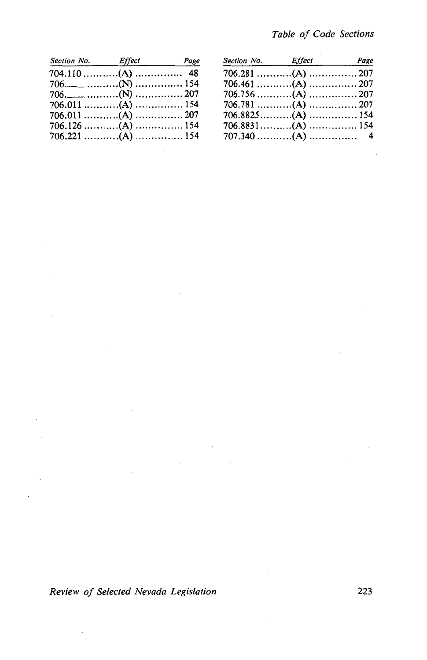| Section No. Effect Page |  | Section No. Effect | Page |
|-------------------------|--|--------------------|------|
| 704.110 (A)  48         |  |                    |      |
|                         |  |                    |      |
|                         |  |                    |      |
|                         |  |                    |      |
|                         |  |                    |      |
|                         |  |                    |      |
|                         |  |                    |      |

| Section No. Effect Page |  | Section No. Effect | Page |
|-------------------------|--|--------------------|------|
| 704.110 (A)  48         |  |                    |      |
| 706.____ (N)  154       |  |                    |      |
| 706._____ (N)  207      |  |                    |      |
| 706.011 (A)  154        |  |                    |      |
| 706.011 (A)  207        |  |                    |      |
| 706.126 (A)  154        |  |                    |      |
| 706.221 (A)  154        |  |                    |      |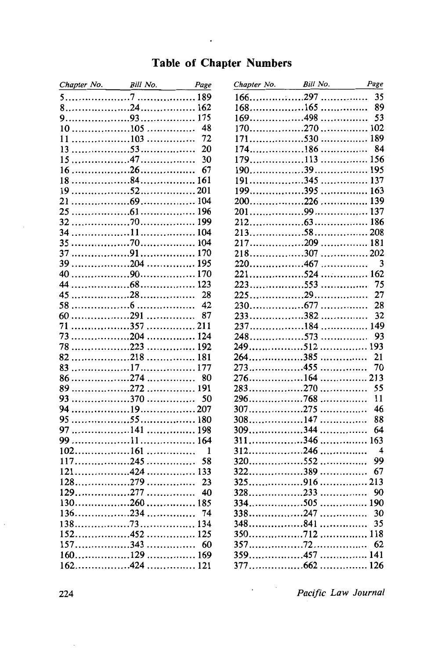#### **Table of Chapter Numbers**

 $\overline{a}$ 

| Chapter No. Bill No. Page |                                                                                       |              |
|---------------------------|---------------------------------------------------------------------------------------|--------------|
|                           |                                                                                       |              |
|                           |                                                                                       |              |
|                           |                                                                                       |              |
|                           |                                                                                       | 48           |
|                           |                                                                                       | 72           |
| 13                        |                                                                                       | 20           |
| 15                        |                                                                                       | 30           |
| 16                        |                                                                                       | 67           |
| 18                        |                                                                                       | 161          |
| 19                        |                                                                                       |              |
| 21                        |                                                                                       |              |
| 25                        |                                                                                       |              |
| 32                        |                                                                                       |              |
| 34                        |                                                                                       |              |
| 35                        |                                                                                       |              |
| 37                        |                                                                                       |              |
| 39                        |                                                                                       |              |
| 40                        |                                                                                       |              |
| 44                        |                                                                                       |              |
| 45                        |                                                                                       | - 28         |
| 58                        |                                                                                       | 42           |
|                           |                                                                                       | -87          |
| 71                        |                                                                                       |              |
| 73                        |                                                                                       |              |
| 78                        | 223<br>218                                                                            | 192          |
| 82<br>83                  |                                                                                       | 181          |
| 86                        | $\ldots \ldots \ldots \ldots \ldots \ldots 274 \ldots \ldots \ldots \ldots \ldots 80$ |              |
|                           |                                                                                       |              |
| 93                        | 370                                                                                   | 50           |
| 94                        |                                                                                       |              |
| 95                        |                                                                                       |              |
| 97                        |                                                                                       |              |
|                           |                                                                                       |              |
|                           |                                                                                       | $\mathbf{1}$ |
|                           |                                                                                       | 58           |
|                           |                                                                                       |              |
|                           |                                                                                       | 23           |
| $129$ 277                 |                                                                                       | 40           |
|                           |                                                                                       | 185          |
|                           |                                                                                       | 74           |
|                           |                                                                                       | 134          |
|                           |                                                                                       | 125          |
| $157 \dots 157 \dots 157$ |                                                                                       | 60           |
|                           |                                                                                       |              |
|                           |                                                                                       |              |

| Chapter No. | Bill No. | Page             |
|-------------|----------|------------------|
|             |          | 35               |
| $168$ 165   | .        | 89               |
| 169498      | .        | 53               |
| $170$ 270   |          | 102              |
| 530<br>171  |          | 189              |
| 1<br>74186  |          | 84               |
| $179$ 113   | .        | 156              |
|             |          | 195              |
| 191345      | .        | 137              |
| 199395      |          | 163              |
|             |          | 139              |
| $200$ 226   |          |                  |
|             |          | 137              |
|             |          | 186              |
|             |          |                  |
| 217209  181 |          |                  |
| $218$ 307   | . 202    |                  |
| $220$ 467   | .        | 3                |
| $221$ 524   |          | 162              |
| $223$ 553   | .        | 75               |
|             |          | 27               |
| 230677      | .        | 28               |
| 233382      | .        | 32               |
| 237. 184    |          | 149              |
| 248573      | .        | 93               |
| 249. 512    | .        | 193              |
| $264$ 385   | .        | 21               |
| $273$ 455   | .        | 70               |
| $276$ 164   | .        | 213              |
| 283270      | .        | 55               |
| 296. 768    | .        | 11               |
| 307. 275    | .        | 46               |
| $308$ 147   |          | 88               |
| $309$ 344   | .        | 64               |
|             | .        |                  |
| 311346      | .        | 163              |
| $312$ 246   | .        | $\boldsymbol{4}$ |
| $320$ 552   | .        | 99               |
| 322389      | .        | 67               |
| $325$ 916   | .        | 213              |
| $328$ 233   | .        | 90               |
| $334$ 505   | .        | 190              |
| 338247      | .        | 30               |
| 348841      | .        | 35               |
|             | .        | 118              |
|             |          | 62               |
| $359$ 457   | .        | 141              |
|             |          |                  |

Pacific Law Journal

 $\ddot{\phantom{0}}$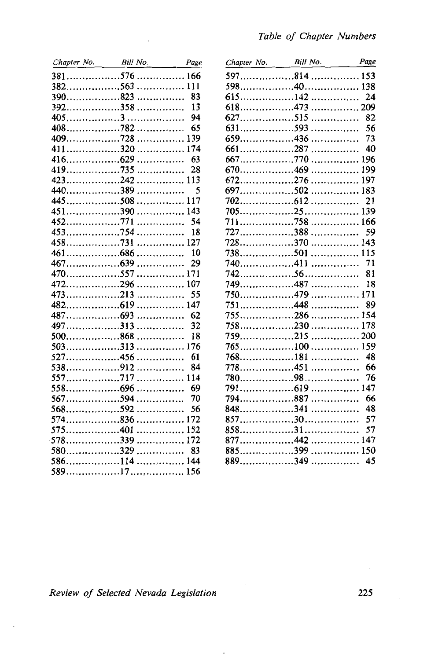| Chapter No. Bill No. |       | Page |
|----------------------|-------|------|
|                      |       |      |
|                      |       |      |
| $390$ 823            |       | - 83 |
| $392$ 358            |       | 13   |
|                      |       | 94   |
|                      |       | 65   |
| 409728               |       | 139  |
| 411320               |       | 174  |
|                      |       | 63   |
|                      | .     | 28   |
| $423$ 242            | . 113 |      |
| 440389               | .     | 5    |
| 445508               | . 117 |      |
| 451390               | . 143 |      |
|                      | .     | 54   |
| $453$ 754            | .     | 18   |
|                      | . 127 |      |
|                      |       |      |
|                      | .     | 29   |
| 470557               | .     | 171  |
| $472$ 296            | .     | 107  |
| $473$ 213            | .     | 55   |
|                      | .     | 147  |
| 487693               | .     | 62   |
| $497$ 313            |       | 32   |
| $500$ 868            | .     | 18   |
| $503$ 313            | .     | 176  |
| $527$ 456            |       | 61   |
| 538912               |       | 84   |
| 557717               | .     | 114  |
|                      |       | 69   |
| 567594               |       | 70   |
| $568$ 592            |       | 56   |
| $574$ 836            |       | 172  |
| 575401               |       | 152  |
| 578339  172          |       |      |
|                      |       |      |
|                      |       |      |
|                      |       |      |

| Chapter No. | Bill No. | Page     |
|-------------|----------|----------|
|             |          |          |
|             |          | 138      |
|             |          | 24       |
| $618$ 473   |          | . 209    |
| $627$ 515   |          | 82<br>.  |
| $631$ 593   |          | 56<br>.  |
| $659$ 436   |          | 73<br>.  |
| $661$ 287   |          | 40<br>.  |
| 667770      |          | 196<br>. |
| 670469      |          | 199<br>. |
|             |          | 197      |
| 697502      |          | 183      |
|             |          | 21       |
|             |          | 139      |
|             |          | 166      |
| $727$ 388   |          | 59<br>.  |
| $728$ 370   |          | 143<br>. |
| 738501      |          | 115<br>. |
| 740411      |          | 71<br>.  |
|             |          | 81       |
| 749. 487    |          | 18<br>.  |
| 750. 479    |          | 171<br>. |
| 448<br>751  |          | 89<br>.  |
| 755286      |          | 154<br>. |
| $758$ 230   |          | 178<br>. |
| $759$ 215   |          | . 200    |
| 765100      |          | 159<br>. |
| 768181      |          | 48<br>.  |
| 778451      |          | 66<br>.  |
|             |          | 76       |
| 619<br>791  |          | 147<br>. |
| 794. 887    |          | 66<br>   |
| 848341      |          | 48<br>.  |
|             |          | 57       |
|             |          | 57       |
|             |          | 147      |
| 885399      |          | 150      |
|             |          | 45       |
|             |          |          |

 $\cdot$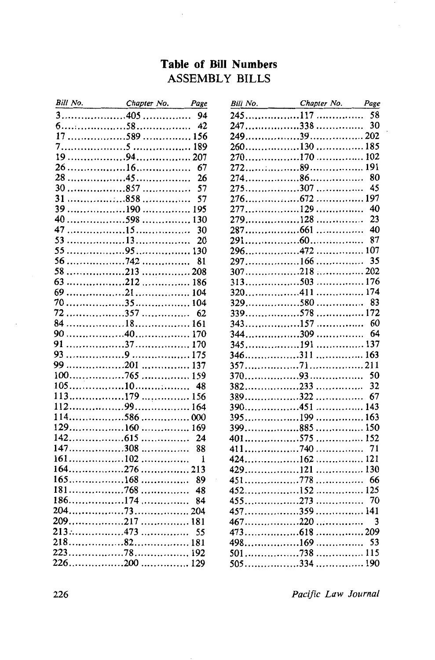### **Table of Bill Numbers ASSEMBLY BILLS**

| Bill No. Chapter No. Page                                                                                    |                                                                                 |                |
|--------------------------------------------------------------------------------------------------------------|---------------------------------------------------------------------------------|----------------|
| $\overline{\mathbf{3}}$                                                                                      |                                                                                 |                |
| $6$ $60$ $58$ $42$                                                                                           |                                                                                 |                |
|                                                                                                              |                                                                                 | 156            |
|                                                                                                              |                                                                                 |                |
| $19 \ldots \ldots \ldots \ldots \ldots \ldots \cdot 94 \ldots \ldots \ldots \ldots \ldots \ldots \ldots 207$ |                                                                                 |                |
|                                                                                                              |                                                                                 | 67             |
|                                                                                                              |                                                                                 | 26             |
| $30 \ldots \ldots \ldots \ldots \ldots \ldots \ldots \ldots \ldots$                                          |                                                                                 | 57             |
| 31                                                                                                           | 858                                                                             | 57             |
| 39                                                                                                           |                                                                                 |                |
|                                                                                                              |                                                                                 | 130            |
| 47                                                                                                           |                                                                                 | 30             |
| 53                                                                                                           |                                                                                 | 20             |
| 55                                                                                                           |                                                                                 | 130            |
| 56                                                                                                           |                                                                                 | 81             |
| 58                                                                                                           |                                                                                 |                |
| 63                                                                                                           |                                                                                 |                |
| 69                                                                                                           |                                                                                 |                |
| 70                                                                                                           |                                                                                 |                |
|                                                                                                              |                                                                                 | 62             |
|                                                                                                              |                                                                                 |                |
|                                                                                                              |                                                                                 |                |
| 91                                                                                                           |                                                                                 |                |
|                                                                                                              |                                                                                 |                |
| 99                                                                                                           | $\ldots \ldots \ldots \ldots \ldots \ldots 201 \ldots \ldots \ldots \ldots 137$ |                |
|                                                                                                              |                                                                                 |                |
|                                                                                                              |                                                                                 | 48             |
|                                                                                                              |                                                                                 |                |
|                                                                                                              |                                                                                 |                |
|                                                                                                              |                                                                                 |                |
|                                                                                                              |                                                                                 | 24             |
| $147$ 308                                                                                                    |                                                                                 | 88             |
| $161 \dots \dots \dots \dots \dots \dots \dots \dots \dots \dots \dots$                                      |                                                                                 | $\blacksquare$ |
|                                                                                                              |                                                                                 |                |
|                                                                                                              |                                                                                 | 89             |
|                                                                                                              |                                                                                 | 48             |
| $186$ 174                                                                                                    |                                                                                 | 84             |
|                                                                                                              |                                                                                 |                |
|                                                                                                              |                                                                                 |                |
| $213$ 473                                                                                                    |                                                                                 | 55             |
|                                                                                                              |                                                                                 |                |
|                                                                                                              |                                                                                 | 192            |
|                                                                                                              |                                                                                 |                |
|                                                                                                              |                                                                                 |                |

| Bill No. Chapter No. Page |       |     |
|---------------------------|-------|-----|
|                           |       |     |
|                           |       | 30  |
|                           |       |     |
|                           |       |     |
|                           |       |     |
|                           |       | 191 |
|                           |       | 80  |
| 275307                    |       | 45  |
|                           |       |     |
|                           |       | 40  |
| 279128                    |       | 23  |
|                           |       | 40  |
|                           |       | 87  |
| 296472                    |       | 107 |
|                           |       | 35  |
| $307$ 218                 | . 202 |     |
| $313$ 503                 | 176   |     |
| $320$ 411                 | . 174 |     |
| $329$ 580                 | .     | 83  |
| 339578  172               |       |     |
| $343$ 157                 | .     | 60  |
| $344$ 309                 | .     | 64  |
| 345191                    | 137   |     |
|                           |       |     |
|                           | . 211 |     |
|                           |       | 50  |
|                           |       | 32  |
| $389$ 322                 |       | 67  |
| 390451                    | 143   |     |
| 395199                    | . 163 |     |
| $399$ 885                 | .     | 150 |
| $401$ 575                 | 152   |     |
| $411$ 740                 | .     | 71  |
| $424$ $162$               | . 121 |     |
| $429$ 121                 | 130   |     |
| $451$ 778                 | . 66  |     |
| $452$ 152                 | . 125 |     |
| $455$ 273                 | .     | 70  |
| $457$ 359                 | . 141 |     |
| $467$ 220                 | .     | 3   |
|                           | 209   |     |
| $498$ 169                 | .     | 53  |
| . 738<br>501              | 115   |     |
| 505334                    | . 190 |     |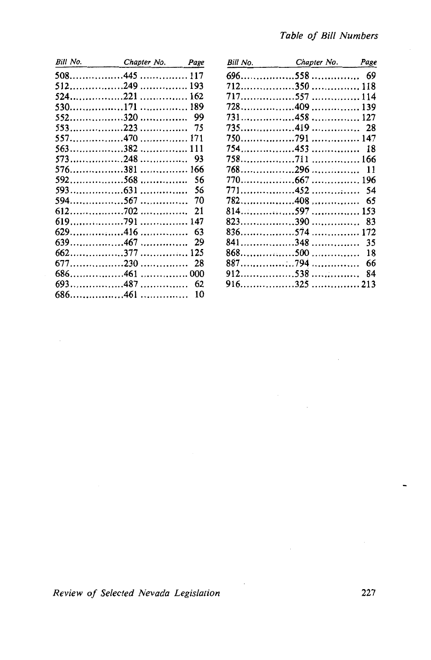| Bill No. Chapter No. | Page |
|----------------------|------|
|                      |      |
|                      |      |
|                      |      |
|                      |      |
|                      |      |
|                      |      |
|                      |      |
|                      |      |
|                      |      |
| 576381  166          |      |
| 592. 568             | 56   |
|                      |      |
|                      |      |
|                      | 21   |
|                      |      |
|                      | 63   |
|                      | 29   |
|                      |      |
|                      | 28   |
|                      |      |
|                      |      |
|                      | 10   |
|                      |      |

| Bill No. | Chapter No. | Page |
|----------|-------------|------|
|          |             |      |
|          |             |      |
|          |             |      |
|          |             |      |
|          |             |      |
|          |             |      |
|          |             |      |
|          | 754. 453    | 18   |
|          | 758. 711    |      |
|          |             | 11   |
|          |             |      |
|          | 771452      | 54   |
|          |             | 65   |
|          |             |      |
|          | 823390      | 83   |
|          |             |      |
| 841      | . 348       | 35   |
|          |             | 18   |
|          |             | 66   |
|          | 912. 538    | 84   |
|          |             |      |
|          |             |      |

227